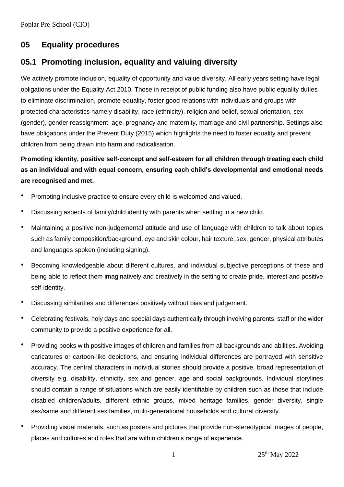# **05 Equality procedures**

## **05.1 Promoting inclusion, equality and valuing diversity**

We actively promote inclusion, equality of opportunity and value diversity. All early years setting have legal obligations under the Equality Act 2010. Those in receipt of public funding also have public equality duties to eliminate discrimination, promote equality, foster good relations with individuals and groups with protected characteristics namely disability, race (ethnicity), religion and belief, sexual orientation, sex (gender), gender reassignment, age, pregnancy and maternity, marriage and civil partnership. Settings also have obligations under the Prevent Duty (2015) which highlights the need to foster equality and prevent children from being drawn into harm and radicalisation.

**Promoting identity, positive self-concept and self-esteem for all children through treating each child as an individual and with equal concern, ensuring each child's developmental and emotional needs are recognised and met.**

- Promoting inclusive practice to ensure every child is welcomed and valued.
- Discussing aspects of family/child identity with parents when settling in a new child.
- Maintaining a positive non-judgemental attitude and use of language with children to talk about topics such as family composition/background, eye and skin colour, hair texture, sex, gender, physical attributes and languages spoken (including signing).
- Becoming knowledgeable about different cultures, and individual subjective perceptions of these and being able to reflect them imaginatively and creatively in the setting to create pride, interest and positive self-identity.
- Discussing similarities and differences positively without bias and judgement.
- Celebrating festivals, holy days and special days authentically through involving parents, staff or the wider community to provide a positive experience for all.
- Providing books with positive images of children and families from all backgrounds and abilities. Avoiding caricatures or cartoon-like depictions, and ensuring individual differences are portrayed with sensitive accuracy. The central characters in individual stories should provide a positive, broad representation of diversity e.g. disability, ethnicity, sex and gender, age and social backgrounds. Individual storylines should contain a range of situations which are easily identifiable by children such as those that include disabled children/adults, different ethnic groups, mixed heritage families, gender diversity, single sex/same and different sex families, multi-generational households and cultural diversity.
- Providing visual materials, such as posters and pictures that provide non-stereotypical images of people, places and cultures and roles that are within children's range of experience.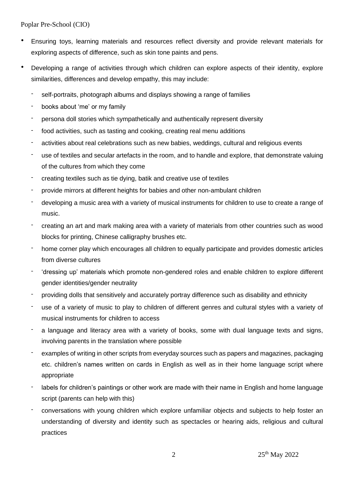- Ensuring toys, learning materials and resources reflect diversity and provide relevant materials for exploring aspects of difference, such as skin tone paints and pens.
- Developing a range of activities through which children can explore aspects of their identity, explore similarities, differences and develop empathy, this may include:
	- self-portraits, photograph albums and displays showing a range of families
	- books about 'me' or my family
	- persona doll stories which sympathetically and authentically represent diversity
	- food activities, such as tasting and cooking, creating real menu additions
	- activities about real celebrations such as new babies, weddings, cultural and religious events
	- use of textiles and secular artefacts in the room, and to handle and explore, that demonstrate valuing of the cultures from which they come
	- creating textiles such as tie dying, batik and creative use of textiles
	- provide mirrors at different heights for babies and other non-ambulant children
	- developing a music area with a variety of musical instruments for children to use to create a range of music.
	- creating an art and mark making area with a variety of materials from other countries such as wood blocks for printing, Chinese calligraphy brushes etc.
	- home corner play which encourages all children to equally participate and provides domestic articles from diverse cultures
	- 'dressing up' materials which promote non-gendered roles and enable children to explore different gender identities/gender neutrality
	- providing dolls that sensitively and accurately portray difference such as disability and ethnicity
	- use of a variety of music to play to children of different genres and cultural styles with a variety of musical instruments for children to access
	- a language and literacy area with a variety of books, some with dual language texts and signs, involving parents in the translation where possible
	- examples of writing in other scripts from everyday sources such as papers and magazines, packaging etc. children's names written on cards in English as well as in their home language script where appropriate
	- labels for children's paintings or other work are made with their name in English and home language script (parents can help with this)
	- conversations with young children which explore unfamiliar objects and subjects to help foster an understanding of diversity and identity such as spectacles or hearing aids, religious and cultural practices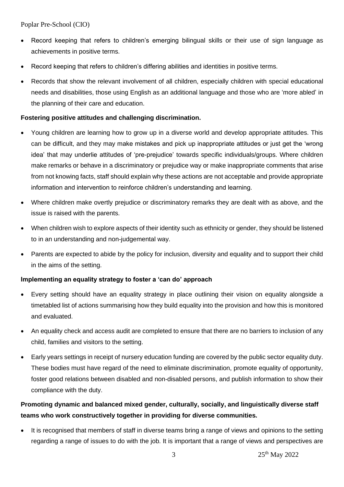- Record keeping that refers to children's emerging bilingual skills or their use of sign language as achievements in positive terms.
- Record keeping that refers to children's differing abilities and identities in positive terms.
- Records that show the relevant involvement of all children, especially children with special educational needs and disabilities, those using English as an additional language and those who are 'more abled' in the planning of their care and education.

### **Fostering positive attitudes and challenging discrimination.**

- Young children are learning how to grow up in a diverse world and develop appropriate attitudes. This can be difficult, and they may make mistakes and pick up inappropriate attitudes or just get the 'wrong idea' that may underlie attitudes of 'pre-prejudice' towards specific individuals/groups. Where children make remarks or behave in a discriminatory or prejudice way or make inappropriate comments that arise from not knowing facts, staff should explain why these actions are not acceptable and provide appropriate information and intervention to reinforce children's understanding and learning.
- Where children make overtly prejudice or discriminatory remarks they are dealt with as above, and the issue is raised with the parents.
- When children wish to explore aspects of their identity such as ethnicity or gender, they should be listened to in an understanding and non-judgemental way.
- Parents are expected to abide by the policy for inclusion, diversity and equality and to support their child in the aims of the setting.

#### **Implementing an equality strategy to foster a 'can do' approach**

- Every setting should have an equality strategy in place outlining their vision on equality alongside a timetabled list of actions summarising how they build equality into the provision and how this is monitored and evaluated.
- An equality check and access audit are completed to ensure that there are no barriers to inclusion of any child, families and visitors to the setting.
- Early years settings in receipt of nursery education funding are covered by the public sector equality duty. These bodies must have regard of the need to eliminate discrimination, promote equality of opportunity, foster good relations between disabled and non-disabled persons, and publish information to show their compliance with the duty.

## **Promoting dynamic and balanced mixed gender, culturally, socially, and linguistically diverse staff teams who work constructively together in providing for diverse communities.**

It is recognised that members of staff in diverse teams bring a range of views and opinions to the setting regarding a range of issues to do with the job. It is important that a range of views and perspectives are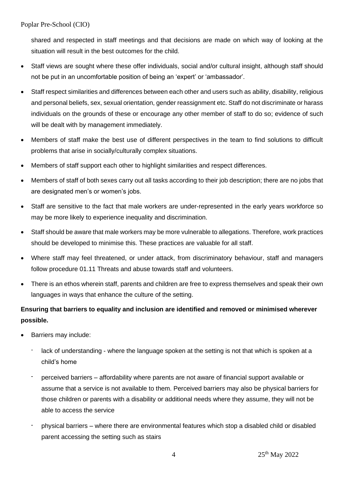shared and respected in staff meetings and that decisions are made on which way of looking at the situation will result in the best outcomes for the child.

- Staff views are sought where these offer individuals, social and/or cultural insight, although staff should not be put in an uncomfortable position of being an 'expert' or 'ambassador'.
- Staff respect similarities and differences between each other and users such as ability, disability, religious and personal beliefs, sex, sexual orientation, gender reassignment etc. Staff do not discriminate or harass individuals on the grounds of these or encourage any other member of staff to do so; evidence of such will be dealt with by management immediately.
- Members of staff make the best use of different perspectives in the team to find solutions to difficult problems that arise in socially/culturally complex situations.
- Members of staff support each other to highlight similarities and respect differences.
- Members of staff of both sexes carry out all tasks according to their job description; there are no jobs that are designated men's or women's jobs.
- Staff are sensitive to the fact that male workers are under-represented in the early years workforce so may be more likely to experience inequality and discrimination.
- Staff should be aware that male workers may be more vulnerable to allegations. Therefore, work practices should be developed to minimise this. These practices are valuable for all staff.
- Where staff may feel threatened, or under attack, from discriminatory behaviour, staff and managers follow procedure 01.11 Threats and abuse towards staff and volunteers.
- There is an ethos wherein staff, parents and children are free to express themselves and speak their own languages in ways that enhance the culture of the setting.

## **Ensuring that barriers to equality and inclusion are identified and removed or minimised wherever possible.**

- Barriers may include:
	- lack of understanding where the language spoken at the setting is not that which is spoken at a child's home
	- perceived barriers affordability where parents are not aware of financial support available or assume that a service is not available to them. Perceived barriers may also be physical barriers for those children or parents with a disability or additional needs where they assume, they will not be able to access the service
	- physical barriers where there are environmental features which stop a disabled child or disabled parent accessing the setting such as stairs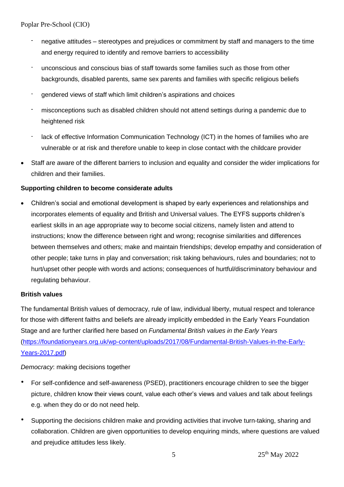- negative attitudes stereotypes and prejudices or commitment by staff and managers to the time and energy required to identify and remove barriers to accessibility
- unconscious and conscious bias of staff towards some families such as those from other backgrounds, disabled parents, same sex parents and families with specific religious beliefs
- gendered views of staff which limit children's aspirations and choices
- misconceptions such as disabled children should not attend settings during a pandemic due to heightened risk
- lack of effective Information Communication Technology (ICT) in the homes of families who are vulnerable or at risk and therefore unable to keep in close contact with the childcare provider
- Staff are aware of the different barriers to inclusion and equality and consider the wider implications for children and their families.

### **Supporting children to become considerate adults**

• Children's social and emotional development is shaped by early experiences and relationships and incorporates elements of equality and British and Universal values. The EYFS supports children's earliest skills in an age appropriate way to become social citizens, namely listen and attend to instructions; know the difference between right and wrong; recognise similarities and differences between themselves and others; make and maintain friendships; develop empathy and consideration of other people; take turns in play and conversation; risk taking behaviours, rules and boundaries; not to hurt/upset other people with words and actions; consequences of hurtful/discriminatory behaviour and regulating behaviour.

### **British values**

The fundamental British values of democracy, rule of law, individual liberty, mutual respect and tolerance for those with different faiths and beliefs are already implicitly embedded in the Early Years Foundation Stage and are further clarified here based on *Fundamental British values in the Early Years* [\(https://foundationyears.org.uk/wp-content/uploads/2017/08/Fundamental-British-Values-in-the-Early-](https://foundationyears.org.uk/wp-content/uploads/2017/08/Fundamental-British-Values-in-the-Early-Years-2017.pdf)[Years-2017.pdf\)](https://foundationyears.org.uk/wp-content/uploads/2017/08/Fundamental-British-Values-in-the-Early-Years-2017.pdf)

*Democracy*: making decisions together

- For self-confidence and self-awareness (PSED), practitioners encourage children to see the bigger picture, children know their views count, value each other's views and values and talk about feelings e.g. when they do or do not need help.
- Supporting the decisions children make and providing activities that involve turn-taking, sharing and collaboration. Children are given opportunities to develop enquiring minds, where questions are valued and prejudice attitudes less likely.